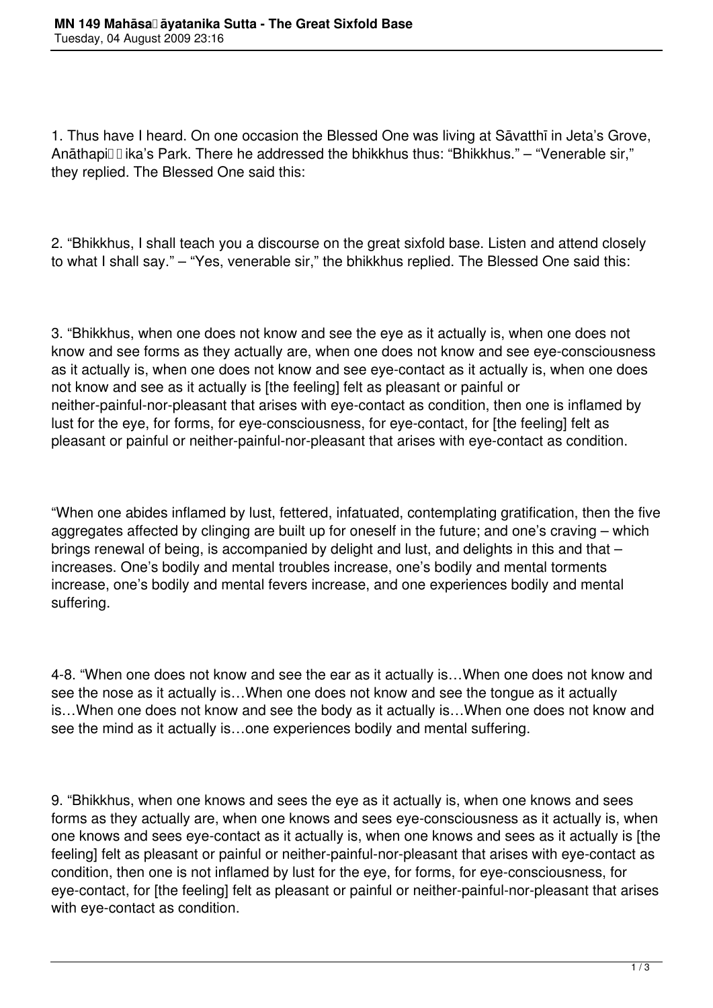1. Thus have I heard. On one occasion the Blessed One was living at Sāvatthī in Jeta's Grove, Anāthapi $\Box$ ika's Park. There he addressed the bhikkhus thus: "Bhikkhus." – "Venerable sir," they replied. The Blessed One said this:

2. "Bhikkhus, I shall teach you a discourse on the great sixfold base. Listen and attend closely to what I shall say." – "Yes, venerable sir," the bhikkhus replied. The Blessed One said this:

3. "Bhikkhus, when one does not know and see the eye as it actually is, when one does not know and see forms as they actually are, when one does not know and see eye-consciousness as it actually is, when one does not know and see eye-contact as it actually is, when one does not know and see as it actually is [the feeling] felt as pleasant or painful or neither-painful-nor-pleasant that arises with eye-contact as condition, then one is inflamed by lust for the eye, for forms, for eye-consciousness, for eye-contact, for [the feeling] felt as pleasant or painful or neither-painful-nor-pleasant that arises with eye-contact as condition.

"When one abides inflamed by lust, fettered, infatuated, contemplating gratification, then the five aggregates affected by clinging are built up for oneself in the future; and one's craving – which brings renewal of being, is accompanied by delight and lust, and delights in this and that – increases. One's bodily and mental troubles increase, one's bodily and mental torments increase, one's bodily and mental fevers increase, and one experiences bodily and mental suffering.

4-8. "When one does not know and see the ear as it actually is…When one does not know and see the nose as it actually is…When one does not know and see the tongue as it actually is…When one does not know and see the body as it actually is…When one does not know and see the mind as it actually is…one experiences bodily and mental suffering.

9. "Bhikkhus, when one knows and sees the eye as it actually is, when one knows and sees forms as they actually are, when one knows and sees eye-consciousness as it actually is, when one knows and sees eye-contact as it actually is, when one knows and sees as it actually is [the feeling] felt as pleasant or painful or neither-painful-nor-pleasant that arises with eye-contact as condition, then one is not inflamed by lust for the eye, for forms, for eye-consciousness, for eye-contact, for [the feeling] felt as pleasant or painful or neither-painful-nor-pleasant that arises with eye-contact as condition.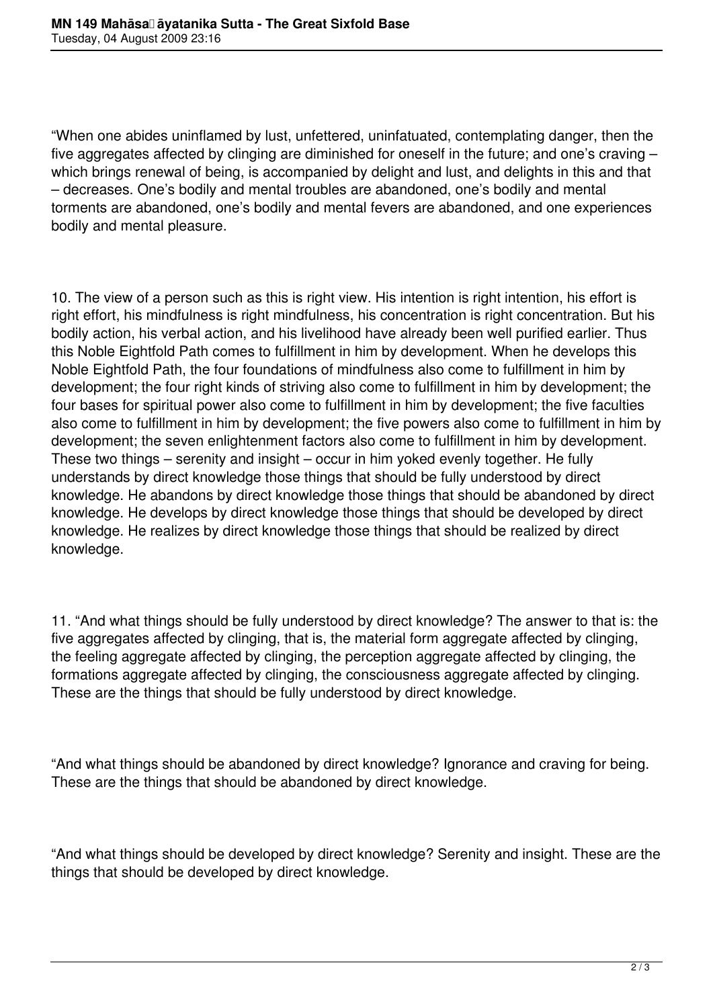"When one abides uninflamed by lust, unfettered, uninfatuated, contemplating danger, then the five aggregates affected by clinging are diminished for oneself in the future; and one's craving – which brings renewal of being, is accompanied by delight and lust, and delights in this and that – decreases. One's bodily and mental troubles are abandoned, one's bodily and mental torments are abandoned, one's bodily and mental fevers are abandoned, and one experiences bodily and mental pleasure.

10. The view of a person such as this is right view. His intention is right intention, his effort is right effort, his mindfulness is right mindfulness, his concentration is right concentration. But his bodily action, his verbal action, and his livelihood have already been well purified earlier. Thus this Noble Eightfold Path comes to fulfillment in him by development. When he develops this Noble Eightfold Path, the four foundations of mindfulness also come to fulfillment in him by development; the four right kinds of striving also come to fulfillment in him by development; the four bases for spiritual power also come to fulfillment in him by development; the five faculties also come to fulfillment in him by development; the five powers also come to fulfillment in him by development; the seven enlightenment factors also come to fulfillment in him by development. These two things – serenity and insight – occur in him yoked evenly together. He fully understands by direct knowledge those things that should be fully understood by direct knowledge. He abandons by direct knowledge those things that should be abandoned by direct knowledge. He develops by direct knowledge those things that should be developed by direct knowledge. He realizes by direct knowledge those things that should be realized by direct knowledge.

11. "And what things should be fully understood by direct knowledge? The answer to that is: the five aggregates affected by clinging, that is, the material form aggregate affected by clinging, the feeling aggregate affected by clinging, the perception aggregate affected by clinging, the formations aggregate affected by clinging, the consciousness aggregate affected by clinging. These are the things that should be fully understood by direct knowledge.

"And what things should be abandoned by direct knowledge? Ignorance and craving for being. These are the things that should be abandoned by direct knowledge.

"And what things should be developed by direct knowledge? Serenity and insight. These are the things that should be developed by direct knowledge.